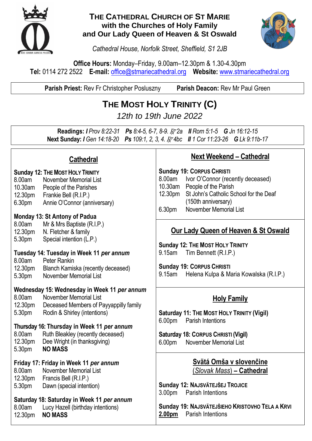

#### **THE CATHEDRAL CHURCH OF ST MARIE with the Churches of Holy Family and Our Lady Queen of Heaven & St Oswald**



*Cathedral House, Norfolk Street, Sheffield, S1 2JB*

**Office Hours:** Monday–Friday, 9.00am–12.30pm & 1.30-4.30pm **Tel:** 0114 272 2522 **E-mail:** [office@stmariecathedral.org](mailto:office@stmariecathedral.org) **Website:** [www.stmariecathedral.org](http://www.stmariecathedral.org/)

**Parish Priest:** Rev Fr Christopher Posluszny **Parish Deacon:** Rev Mr Paul Green

### **THE MOST HOLY TRINITY (C)**

*12th to 19th June 2022*

**Readings:** *I Prov 8:22-31 Ps 8:4-5, 6-7, 8-9.* R *2a II Rom 5:1-5 G Jn 16:12-15* **Next Sunday:** *I Gen 14:18-20 Ps 109:1, 2, 3, 4.* R *4bc II 1 Cor 11:23-26 G Lk 9:11b-17*

### **Cathedral**

- **Sunday 12: THE MOST HOLY TRINITY** 8.00am November Memorial List 10.30am People of the Parishes 12.30pm Frankie Bell (R.I.P.) 6.30pm Annie O'Connor (anniversary)
- **Monday 13: St Antony of Padua**

8.00am Mr & Mrs Baptiste (R.I.P.) 12.30pm N. Fletcher & family 5.30pm Special intention (L.P.)

#### **Tuesday 14: Tuesday in Week 11** *per annum*

8.00am Peter Rankin<br>12.30pm Blanch Kamis Blanch Kamiska (recently deceased) 5.30pm November Memorial List

## **Wednesday 15: Wednesday in Week 11** *per annum*

November Memorial List 12.30pm Deceased Members of Payyappilly family 5.30pm Rodin & Shirley (intentions)

#### **Thursday 16: Thursday in Week 11** *per annum* 8.00am Ruth Bleakley (recently deceased)

12.30pm Dee Wright (in thanksgiving) 5.30pm **NO MASS**

# **Friday 17: Friday in Week 11** *per annum*

8.00am November Memorial List 12.30pm Francis Bell (R.I.P.) 5.30pm Dawn (special intention)

# **Saturday 18: Saturday in Week 11** *per annum*

8.00am Lucy Hazell (birthday intentions)<br>12.30pm **NO MASS** 12.30pm **NO MASS**

### **Next Weekend – Cathedral**

**Sunday 19: CORPUS CHRISTI** 8.00am Ivor O'Connor (recently deceased) 10.30am People of the Parish 12.30pm St John's Catholic School for the Deaf (150th anniversary) 6.30pm November Memorial List

### **Our Lady Queen of Heaven & St Oswald**

**Sunday 12: THE MOST HOLY TRINITY** 9.15am Tim Bennett (R.I.P.)

**Sunday 19: CORPUS CHRISTI** 9.15am Helena Kulpa & Maria Kowalska (R.I.P.)

### **Holy Family**

**Saturday 11: THE MOST HOLY TRINITY (Vigil)** 6.00pm Parish Intentions

**Saturday 18: CORPUS CHRISTI (Vigil)** 6.00pm November Memorial List

> **Svätá Omša v slovenčine** (*Slovak Mass*) **– Cathedral**

**Sunday 12: NAJSVÄTEJŠEJ TROJICE** 3.00pm Parish Intentions

**Sunday 19: NAJSVÄTEJŠIEHO KRISTOVHO TELA A KRVI 2.00pm** Parish Intentions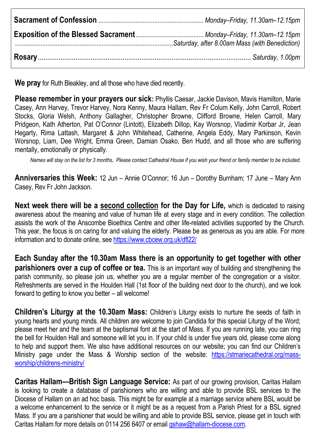**We pray** for Ruth Bleakley, and all those who have died recently.

**Please remember in your prayers our sick:** Phyllis Caesar, Jackie Davison, Mavis Hamilton, Marie Casey, Ann Harvey, Trevor Harvey, Nora Kenny, Maura Hallam, Rev Fr Colum Kelly, John Carroll, Robert Stocks, Gloria Welsh, Anthony Gallagher, Christopher Browne, Clifford Browne, Helen Carroll, Mary Pridgeon, Kath Atherton, Pat O'Connor (Lintott), Elizabeth Dillop, Kay Worsnop, Vladimir Korbar Jr, Jean Hegarty, Rima Lattash, Margaret & John Whitehead, Catherine, Angela Eddy, Mary Parkinson, Kevin Worsnop, Liam, Dee Wright, Emma Green, Damian Osako, Ben Hudd, and all those who are suffering mentally, emotionally or physically.

*Names will stay on the list for 3 months. Please contact Cathedral House if you wish your friend or family member to be included.*

**Anniversaries this Week:** 12 Jun – Annie O'Connor; 16 Jun – Dorothy Burnham; 17 June – Mary Ann Casey, Rev Fr John Jackson.

**Next week there will be a second collection for the Day for Life,** which is dedicated to raising awareness about the meaning and value of human life at every stage and in every condition. The collection assists the work of the Anscombe Bioethics Centre and other life-related activities supported by the Church. This year, the focus is on caring for and valuing the elderly. Please be as generous as you are able. For more information and to donate online, see<https://www.cbcew.org.uk/dfl22/>

**Each Sunday after the 10.30am Mass there is an opportunity to get together with other parishioners over a cup of coffee or tea.** This is an important way of building and strengthening the parish community, so please join us, whether you are a regular member of the congregation or a visitor. Refreshments are served in the Houlden Hall (1st floor of the building next door to the church), and we look forward to getting to know you better – all welcome!

**Children's Liturgy at the 10.30am Mass:** Children's Liturgy exists to nurture the seeds of faith in young hearts and young minds. All children are welcome to join Candida for this special Liturgy of the Word; please meet her and the team at the baptismal font at the start of Mass. If you are running late, you can ring the bell for Houlden Hall and someone will let you in. If your child is under five years old, please come along to help and support them. We also have additional resources on our website; you can find our Children's Ministry page under the Mass & Worship section of the website: [https://stmariecathedral.org/mass](https://stmariecathedral.org/mass-worship/childrens-ministry/)[worship/childrens-ministry/](https://stmariecathedral.org/mass-worship/childrens-ministry/)

**Caritas Hallam—British Sign Language Service:** As part of our growing provision, Caritas Hallam is looking to create a database of parishioners who are willing and able to provide BSL services to the Diocese of Hallam on an ad hoc basis. This might be for example at a marriage service where BSL would be a welcome enhancement to the service or it might be as a request from a Parish Priest for a BSL signed Mass. If you are a parishioner that would be willing and able to provide BSL service, please get in touch with Caritas Hallam for more details on 0114 256 6407 or email [gshaw@hallam-diocese.com.](mailto:gshaw@hallam-diocese.com)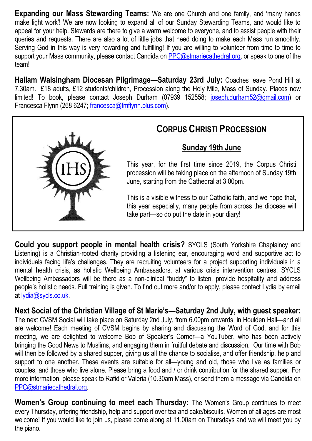**Expanding our Mass Stewarding Teams:** We are one Church and one family, and 'many hands make light work'! We are now looking to expand all of our Sunday Stewarding Teams, and would like to appeal for your help. Stewards are there to give a warm welcome to everyone, and to assist people with their queries and requests. There are also a lot of little jobs that need doing to make each Mass run smoothly. Serving God in this way is very rewarding and fulfilling! If you are willing to volunteer from time to time to support your Mass community, please contact Candida on [PPC@stmariecathedral.org,](mailto:PPC@stmariecathedral.org) or speak to one of the team!

**Hallam Walsingham Diocesan Pilgrimage—Saturday 23rd July:** Coaches leave Pond Hill at 7.30am. £18 adults, £12 students/children, Procession along the Holy Mile, Mass of Sunday. Places now limited! To book, please contact Joseph Durham (07939 152558; [joseph.durham52@gmail.com\)](mailto:joseph.durham52@gmail.com) or Francesca Flynn (268 6247; [francesca@fmflynn.plus.com\)](mailto:francesca@fmflynn.plus.com).



### **CORPUS CHRISTI PROCESSION**

### **Sunday 19th June**

This year, for the first time since 2019, the Corpus Christi procession will be taking place on the afternoon of Sunday 19th June, starting from the Cathedral at 3.00pm.

This is a visible witness to our Catholic faith, and we hope that, this year especially, many people from across the diocese will take part—so do put the date in your diary!

**Could you support people in mental health crisis?** SYCLS (South Yorkshire Chaplaincy and Listening) is a Christian-rooted charity providing a listening ear, encouraging word and supportive act to individuals facing life's challenges. They are recruiting volunteers for a project supporting individuals in a mental health crisis, as holistic Wellbeing Ambassadors, at various crisis intervention centres. SYCLS Wellbeing Ambassadors will be there as a non-clinical "buddy" to listen, provide hospitality and address people's holistic needs. Full training is given. To find out more and/or to apply, please contact Lydia by email at [lydia@sycls.co.uk.](mailto:lydia@sycls.co.uk)

**Next Social of the Christian Village of St Marie's—Saturday 2nd July, with guest speaker:**  The next CVSM Social will take place on Saturday 2nd July, from 6.00pm onwards, in Houlden Hall—and all are welcome! Each meeting of CVSM begins by sharing and discussing the Word of God, and for this meeting, we are delighted to welcome Bob of Speaker's Corner—a YouTuber, who has been actively bringing the Good News to Muslims, and engaging them in fruitful debate and discussion. Our time with Bob will then be followed by a shared supper, giving us all the chance to socialise, and offer friendship, help and support to one another. These events are suitable for all—young and old, those who live as families or couples, and those who live alone. Please bring a food and / or drink contribution for the shared supper. For more information, please speak to Rafid or Valeria (10.30am Mass), or send them a message via Candida on [PPC@stmariecathedral.org.](mailto:PPC@stmariecathedral.org)

**Women's Group continuing to meet each Thursday:** The Women's Group continues to meet every Thursday, offering friendship, help and support over tea and cake/biscuits. Women of all ages are most welcome! If you would like to join us, please come along at 11.00am on Thursdays and we will meet you by the piano.